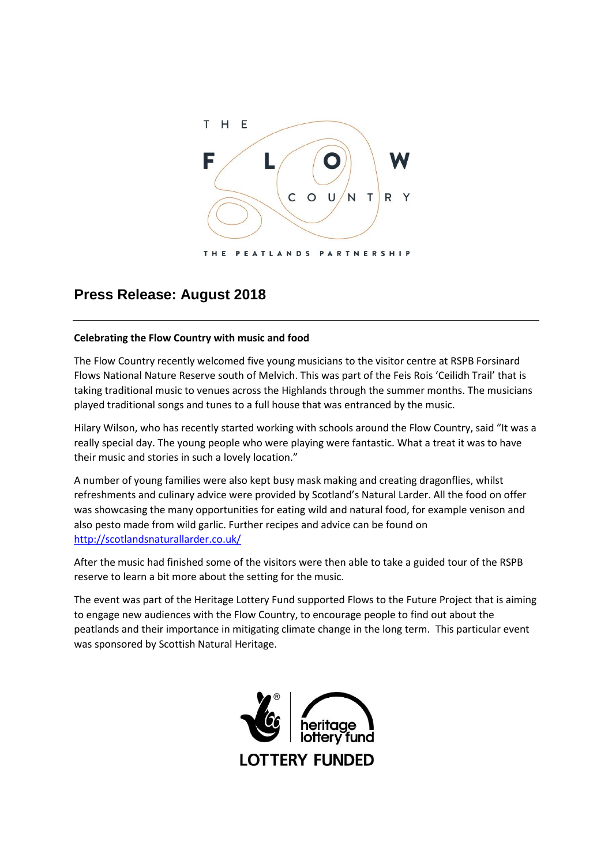

## **Press Release: August 2018**

## **Celebrating the Flow Country with music and food**

The Flow Country recently welcomed five young musicians to the visitor centre at RSPB Forsinard Flows National Nature Reserve south of Melvich. This was part of the Feis Rois 'Ceilidh Trail' that is taking traditional music to venues across the Highlands through the summer months. The musicians played traditional songs and tunes to a full house that was entranced by the music.

Hilary Wilson, who has recently started working with schools around the Flow Country, said "It was a really special day. The young people who were playing were fantastic. What a treat it was to have their music and stories in such a lovely location."

A number of young families were also kept busy mask making and creating dragonflies, whilst refreshments and culinary advice were provided by Scotland's Natural Larder. All the food on offer was showcasing the many opportunities for eating wild and natural food, for example venison and also pesto made from wild garlic. Further recipes and advice can be found on <http://scotlandsnaturallarder.co.uk/>

After the music had finished some of the visitors were then able to take a guided tour of the RSPB reserve to learn a bit more about the setting for the music.

The event was part of the Heritage Lottery Fund supported Flows to the Future Project that is aiming to engage new audiences with the Flow Country, to encourage people to find out about the peatlands and their importance in mitigating climate change in the long term. This particular event was sponsored by Scottish Natural Heritage.